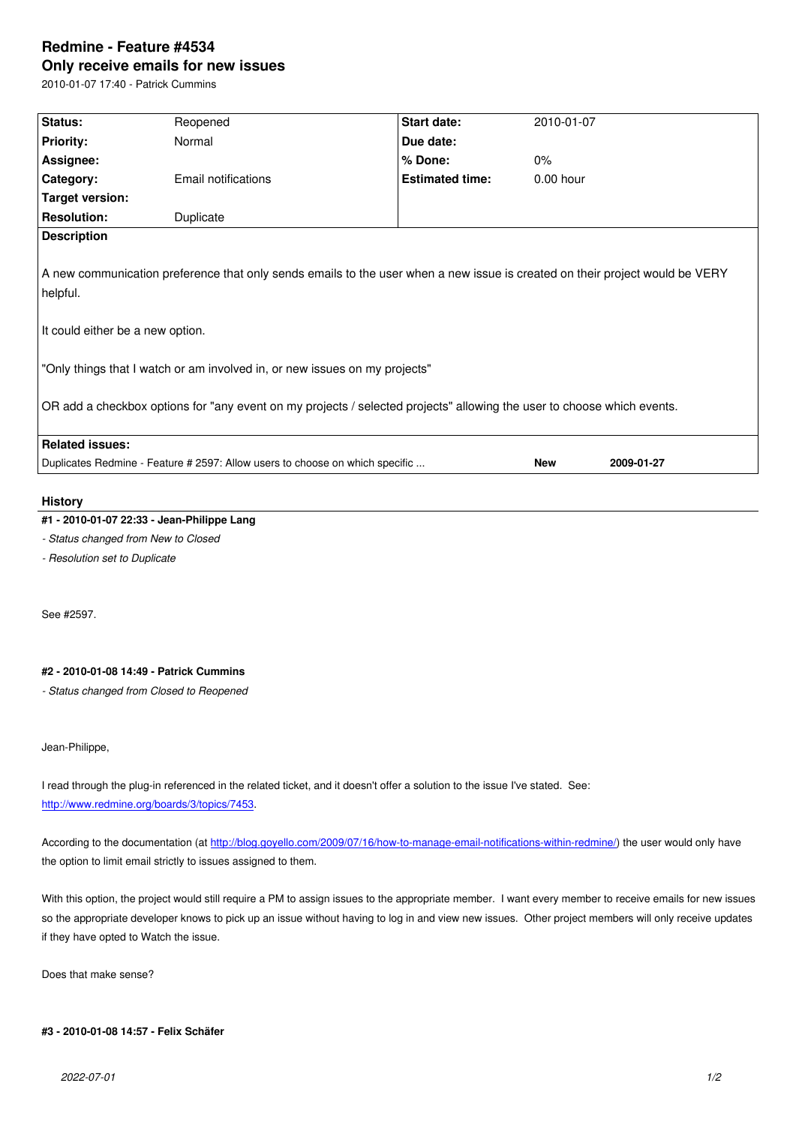#### **Only receive emails for new issues**

2010-01-07 17:40 - Patrick Cummins

| Status:                                                                                                                                                                                                                                                    | Reopened                                                                     | Start date:            | 2010-01-07  |            |
|------------------------------------------------------------------------------------------------------------------------------------------------------------------------------------------------------------------------------------------------------------|------------------------------------------------------------------------------|------------------------|-------------|------------|
| <b>Priority:</b>                                                                                                                                                                                                                                           | Normal                                                                       | Due date:              |             |            |
| Assignee:                                                                                                                                                                                                                                                  |                                                                              | % Done:                | 0%          |            |
| Category:                                                                                                                                                                                                                                                  | Email notifications                                                          | <b>Estimated time:</b> | $0.00$ hour |            |
| <b>Target version:</b>                                                                                                                                                                                                                                     |                                                                              |                        |             |            |
| <b>Resolution:</b>                                                                                                                                                                                                                                         | Duplicate                                                                    |                        |             |            |
| <b>Description</b>                                                                                                                                                                                                                                         |                                                                              |                        |             |            |
| A new communication preference that only sends emails to the user when a new issue is created on their project would be VERY<br>helpful.<br>It could either be a new option.<br>"Only things that I watch or am involved in, or new issues on my projects" |                                                                              |                        |             |            |
| OR add a checkbox options for "any event on my projects / selected projects" allowing the user to choose which events.                                                                                                                                     |                                                                              |                        |             |            |
| <b>Related issues:</b>                                                                                                                                                                                                                                     |                                                                              |                        |             |            |
|                                                                                                                                                                                                                                                            | Duplicates Redmine - Feature # 2597: Allow users to choose on which specific |                        | <b>New</b>  | 2009-01-27 |
|                                                                                                                                                                                                                                                            |                                                                              |                        |             |            |

#### **History**

# **#1 - 2010-01-07 22:33 - Jean-Philippe Lang**

*- Status changed from New to Closed*

*- Resolution set to Duplicate*

See #2597.

## **#2 - 2010-01-08 14:49 - Patrick Cummins**

*- Status changed from Closed to Reopened*

## Jean-Philippe,

I read through the plug-in referenced in the related ticket, and it doesn't offer a solution to the issue I've stated. See: http://www.redmine.org/boards/3/topics/7453.

According to the documentation (at http://blog.goyello.com/2009/07/16/how-to-manage-email-notifications-within-redmine/) the user would only have [the option to limit email strictly to issues assig](http://www.redmine.org/boards/3/topics/7453)ned to them.

With this option, the project would [still require a PM to assign issues to the appropriate member. I want every member to r](http://blog.goyello.com/2009/07/16/how-to-manage-email-notifications-within-redmine/)eceive emails for new issues so the appropriate developer knows to pick up an issue without having to log in and view new issues. Other project members will only receive updates if they have opted to Watch the issue.

Does that make sense?

### **#3 - 2010-01-08 14:57 - Felix Schäfer**